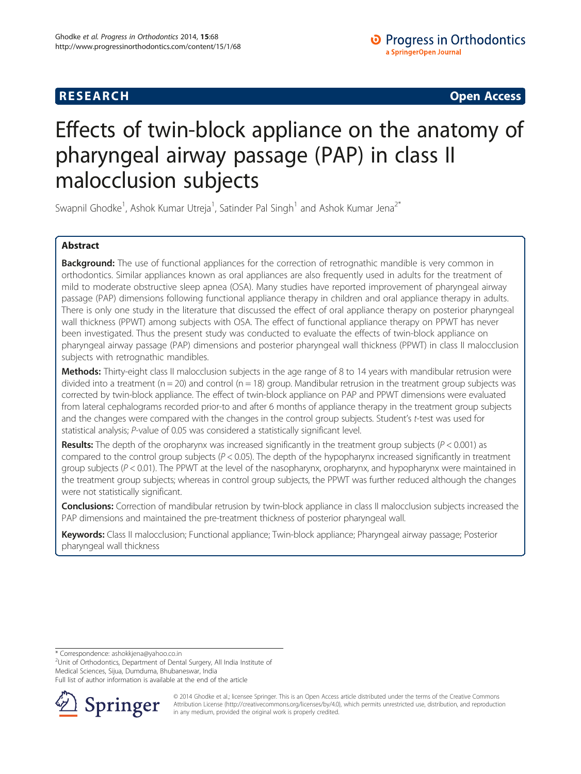# **RESEARCH CHE Open Access**

# Effects of twin-block appliance on the anatomy of pharyngeal airway passage (PAP) in class II malocclusion subjects

Swapnil Ghodke<sup>1</sup>, Ashok Kumar Utreja<sup>1</sup>, Satinder Pal Singh<sup>1</sup> and Ashok Kumar Jena<sup>2\*</sup>

# Abstract

**Background:** The use of functional appliances for the correction of retrognathic mandible is very common in orthodontics. Similar appliances known as oral appliances are also frequently used in adults for the treatment of mild to moderate obstructive sleep apnea (OSA). Many studies have reported improvement of pharyngeal airway passage (PAP) dimensions following functional appliance therapy in children and oral appliance therapy in adults. There is only one study in the literature that discussed the effect of oral appliance therapy on posterior pharyngeal wall thickness (PPWT) among subjects with OSA. The effect of functional appliance therapy on PPWT has never been investigated. Thus the present study was conducted to evaluate the effects of twin-block appliance on pharyngeal airway passage (PAP) dimensions and posterior pharyngeal wall thickness (PPWT) in class II malocclusion subjects with retrognathic mandibles.

Methods: Thirty-eight class II malocclusion subjects in the age range of 8 to 14 years with mandibular retrusion were divided into a treatment ( $n = 20$ ) and control ( $n = 18$ ) group. Mandibular retrusion in the treatment group subjects was corrected by twin-block appliance. The effect of twin-block appliance on PAP and PPWT dimensions were evaluated from lateral cephalograms recorded prior-to and after 6 months of appliance therapy in the treatment group subjects and the changes were compared with the changes in the control group subjects. Student's t-test was used for statistical analysis; P-value of 0.05 was considered a statistically significant level.

**Results:** The depth of the oropharynx was increased significantly in the treatment group subjects ( $P < 0.001$ ) as compared to the control group subjects  $(P < 0.05)$ . The depth of the hypopharynx increased significantly in treatment group subjects ( $P < 0.01$ ). The PPWT at the level of the nasopharynx, oropharynx, and hypopharynx were maintained in the treatment group subjects; whereas in control group subjects, the PPWT was further reduced although the changes were not statistically significant.

Conclusions: Correction of mandibular retrusion by twin-block appliance in class II malocclusion subjects increased the PAP dimensions and maintained the pre-treatment thickness of posterior pharyngeal wall.

Keywords: Class II malocclusion; Functional appliance; Twin-block appliance; Pharyngeal airway passage; Posterior pharyngeal wall thickness

\* Correspondence: [ashokkjena@yahoo.co.in](mailto:ashokkjena@yahoo.co.in) <sup>2</sup>

<sup>2</sup>Unit of Orthodontics, Department of Dental Surgery, All India Institute of Medical Sciences, Sijua, Dumduma, Bhubaneswar, India

Full list of author information is available at the end of the article



© 2014 Ghodke et al.; licensee Springer. This is an Open Access article distributed under the terms of the Creative Commons Attribution License [\(http://creativecommons.org/licenses/by/4.0\)](http://creativecommons.org/licenses/by/4.0), which permits unrestricted use, distribution, and reproduction in any medium, provided the original work is properly credited.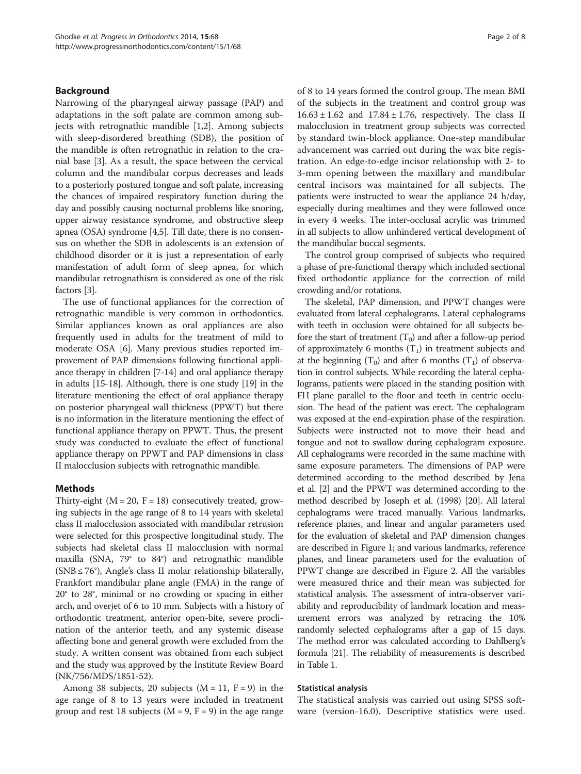### Background

Narrowing of the pharyngeal airway passage (PAP) and adaptations in the soft palate are common among subjects with retrognathic mandible [\[1](#page-6-0),[2\]](#page-6-0). Among subjects with sleep-disordered breathing (SDB), the position of the mandible is often retrognathic in relation to the cranial base [\[3](#page-6-0)]. As a result, the space between the cervical column and the mandibular corpus decreases and leads to a posteriorly postured tongue and soft palate, increasing the chances of impaired respiratory function during the day and possibly causing nocturnal problems like snoring, upper airway resistance syndrome, and obstructive sleep apnea (OSA) syndrome [\[4,5](#page-6-0)]. Till date, there is no consensus on whether the SDB in adolescents is an extension of childhood disorder or it is just a representation of early manifestation of adult form of sleep apnea, for which mandibular retrognathism is considered as one of the risk factors [\[3](#page-6-0)].

The use of functional appliances for the correction of retrognathic mandible is very common in orthodontics. Similar appliances known as oral appliances are also frequently used in adults for the treatment of mild to moderate OSA [[6\]](#page-6-0). Many previous studies reported improvement of PAP dimensions following functional appliance therapy in children [\[7-14](#page-6-0)] and oral appliance therapy in adults [\[15-18\]](#page-6-0). Although, there is one study [[19\]](#page-6-0) in the literature mentioning the effect of oral appliance therapy on posterior pharyngeal wall thickness (PPWT) but there is no information in the literature mentioning the effect of functional appliance therapy on PPWT. Thus, the present study was conducted to evaluate the effect of functional appliance therapy on PPWT and PAP dimensions in class II malocclusion subjects with retrognathic mandible.

#### Methods

Thirty-eight  $(M = 20, F = 18)$  consecutively treated, growing subjects in the age range of 8 to 14 years with skeletal class II malocclusion associated with mandibular retrusion were selected for this prospective longitudinal study. The subjects had skeletal class II malocclusion with normal maxilla (SNA, 79° to 84°) and retrognathic mandible  $(SNB \le 76^{\circ})$ , Angle's class II molar relationship bilaterally, Frankfort mandibular plane angle (FMA) in the range of 20° to 28°, minimal or no crowding or spacing in either arch, and overjet of 6 to 10 mm. Subjects with a history of orthodontic treatment, anterior open-bite, severe proclination of the anterior teeth, and any systemic disease affecting bone and general growth were excluded from the study. A written consent was obtained from each subject and the study was approved by the Institute Review Board (NK/756/MDS/1851-52).

Among 38 subjects, 20 subjects  $(M = 11, F = 9)$  in the age range of 8 to 13 years were included in treatment group and rest 18 subjects ( $M = 9$ ,  $F = 9$ ) in the age range of 8 to 14 years formed the control group. The mean BMI of the subjects in the treatment and control group was  $16.63 \pm 1.62$  and  $17.84 \pm 1.76$ , respectively. The class II malocclusion in treatment group subjects was corrected by standard twin-block appliance. One-step mandibular advancement was carried out during the wax bite registration. An edge-to-edge incisor relationship with 2- to 3-mm opening between the maxillary and mandibular central incisors was maintained for all subjects. The patients were instructed to wear the appliance 24 h/day, especially during mealtimes and they were followed once in every 4 weeks. The inter-occlusal acrylic was trimmed in all subjects to allow unhindered vertical development of the mandibular buccal segments.

The control group comprised of subjects who required a phase of pre-functional therapy which included sectional fixed orthodontic appliance for the correction of mild crowding and/or rotations.

The skeletal, PAP dimension, and PPWT changes were evaluated from lateral cephalograms. Lateral cephalograms with teeth in occlusion were obtained for all subjects before the start of treatment  $(T_0)$  and after a follow-up period of approximately 6 months  $(T_1)$  in treatment subjects and at the beginning  $(T_0)$  and after 6 months  $(T_1)$  of observation in control subjects. While recording the lateral cephalograms, patients were placed in the standing position with FH plane parallel to the floor and teeth in centric occlusion. The head of the patient was erect. The cephalogram was exposed at the end-expiration phase of the respiration. Subjects were instructed not to move their head and tongue and not to swallow during cephalogram exposure. All cephalograms were recorded in the same machine with same exposure parameters. The dimensions of PAP were determined according to the method described by Jena et al. [[2](#page-6-0)] and the PPWT was determined according to the method described by Joseph et al. (1998) [\[20\]](#page-6-0). All lateral cephalograms were traced manually. Various landmarks, reference planes, and linear and angular parameters used for the evaluation of skeletal and PAP dimension changes are described in Figure [1;](#page-2-0) and various landmarks, reference planes, and linear parameters used for the evaluation of PPWT change are described in Figure [2](#page-2-0). All the variables were measured thrice and their mean was subjected for statistical analysis. The assessment of intra-observer variability and reproducibility of landmark location and measurement errors was analyzed by retracing the 10% randomly selected cephalograms after a gap of 15 days. The method error was calculated according to Dahlberg's formula [\[21\]](#page-6-0). The reliability of measurements is described in Table [1.](#page-3-0)

#### Statistical analysis

The statistical analysis was carried out using SPSS software (version-16.0). Descriptive statistics were used.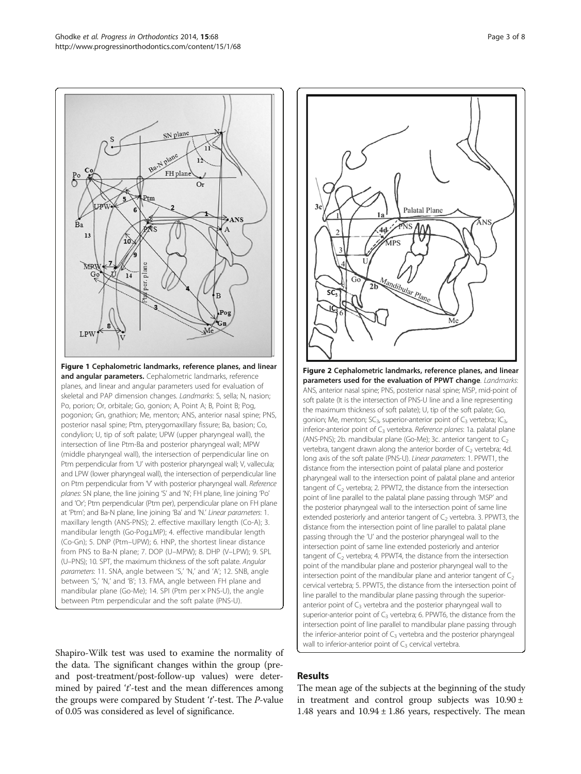<span id="page-2-0"></span>

Shapiro-Wilk test was used to examine the normality of the data. The significant changes within the group (preand post-treatment/post-follow-up values) were determined by paired  $t'$ -test and the mean differences among the groups were compared by Student  $t'$ -test. The *P*-value of 0.05 was considered as level of significance.



# Results

The mean age of the subjects at the beginning of the study in treatment and control group subjects was  $10.90 \pm$ 1.48 years and  $10.94 \pm 1.86$  years, respectively. The mean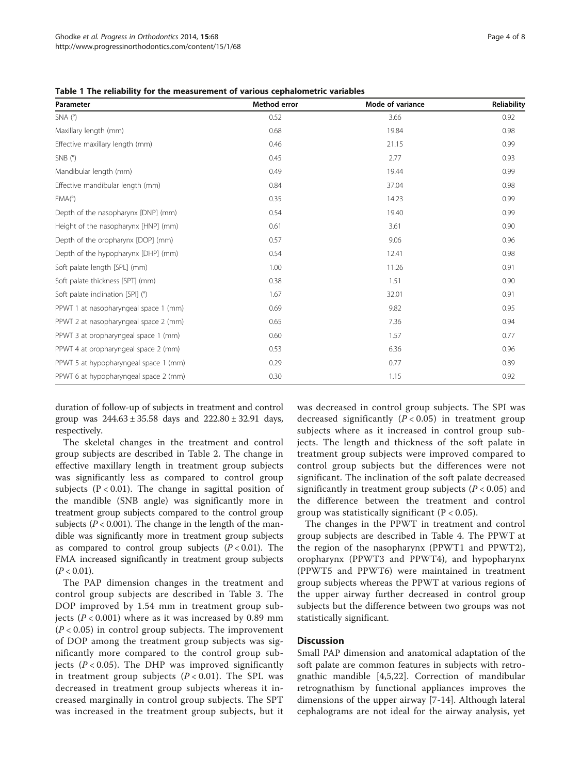| Parameter                             | Method error | Mode of variance | Reliability |
|---------------------------------------|--------------|------------------|-------------|
| $SNA(^{\circ})$                       | 0.52         | 3.66             | 0.92        |
| Maxillary length (mm)                 | 0.68         | 19.84            | 0.98        |
| Effective maxillary length (mm)       | 0.46         | 21.15            | 0.99        |
| SNB(°)                                | 0.45         | 2.77             | 0.93        |
| Mandibular length (mm)                | 0.49         | 19.44            | 0.99        |
| Effective mandibular length (mm)      | 0.84         | 37.04            | 0.98        |
| FMA(°)                                | 0.35         | 14.23            | 0.99        |
| Depth of the nasopharynx [DNP] (mm)   | 0.54         | 19.40            | 0.99        |
| Height of the nasopharynx [HNP] (mm)  | 0.61         | 3.61             | 0.90        |
| Depth of the oropharynx [DOP] (mm)    | 0.57         | 9.06             | 0.96        |
| Depth of the hypopharynx [DHP] (mm)   | 0.54         | 12.41            | 0.98        |
| Soft palate length [SPL] (mm)         | 1.00         | 11.26            | 0.91        |
| Soft palate thickness [SPT] (mm)      | 0.38         | 1.51             | 0.90        |
| Soft palate inclination [SPI] (°)     | 1.67         | 32.01            | 0.91        |
| PPWT 1 at nasopharyngeal space 1 (mm) | 0.69         | 9.82             | 0.95        |
| PPWT 2 at nasopharyngeal space 2 (mm) | 0.65         | 7.36             | 0.94        |
| PPWT 3 at oropharyngeal space 1 (mm)  | 0.60         | 1.57             | 0.77        |
| PPWT 4 at oropharyngeal space 2 (mm)  | 0.53         | 6.36             | 0.96        |
| PPWT 5 at hypopharyngeal space 1 (mm) | 0.29         | 0.77             | 0.89        |
| PPWT 6 at hypopharyngeal space 2 (mm) | 0.30         | 1.15             | 0.92        |

<span id="page-3-0"></span>Table 1 The reliability for the measurement of various cephalometric variables

duration of follow-up of subjects in treatment and control group was  $244.63 \pm 35.58$  days and  $222.80 \pm 32.91$  days, respectively.

The skeletal changes in the treatment and control group subjects are described in Table [2.](#page-4-0) The change in effective maxillary length in treatment group subjects was significantly less as compared to control group subjects ( $P < 0.01$ ). The change in sagittal position of the mandible (SNB angle) was significantly more in treatment group subjects compared to the control group subjects ( $P < 0.001$ ). The change in the length of the mandible was significantly more in treatment group subjects as compared to control group subjects  $(P < 0.01)$ . The FMA increased significantly in treatment group subjects  $(P < 0.01)$ .

The PAP dimension changes in the treatment and control group subjects are described in Table [3](#page-4-0). The DOP improved by 1.54 mm in treatment group subjects ( $P < 0.001$ ) where as it was increased by 0.89 mm  $(P < 0.05)$  in control group subjects. The improvement of DOP among the treatment group subjects was significantly more compared to the control group subjects ( $P < 0.05$ ). The DHP was improved significantly in treatment group subjects  $(P < 0.01)$ . The SPL was decreased in treatment group subjects whereas it increased marginally in control group subjects. The SPT was increased in the treatment group subjects, but it was decreased in control group subjects. The SPI was decreased significantly  $(P < 0.05)$  in treatment group subjects where as it increased in control group subjects. The length and thickness of the soft palate in treatment group subjects were improved compared to control group subjects but the differences were not significant. The inclination of the soft palate decreased significantly in treatment group subjects ( $P < 0.05$ ) and the difference between the treatment and control group was statistically significant  $(P < 0.05)$ .

The changes in the PPWT in treatment and control group subjects are described in Table [4.](#page-5-0) The PPWT at the region of the nasopharynx (PPWT1 and PPWT2), oropharynx (PPWT3 and PPWT4), and hypopharynx (PPWT5 and PPWT6) were maintained in treatment group subjects whereas the PPWT at various regions of the upper airway further decreased in control group subjects but the difference between two groups was not statistically significant.

# **Discussion**

Small PAP dimension and anatomical adaptation of the soft palate are common features in subjects with retrognathic mandible [\[4](#page-6-0),[5,22\]](#page-6-0). Correction of mandibular retrognathism by functional appliances improves the dimensions of the upper airway [\[7](#page-6-0)-[14\]](#page-6-0). Although lateral cephalograms are not ideal for the airway analysis, yet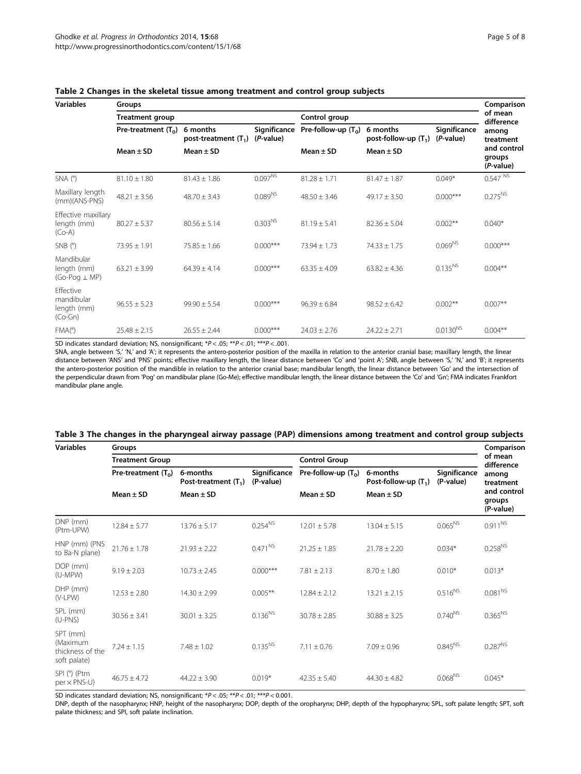| <b>Variables</b>                                    | Groups                 |                                    |                             |                                        |                                                     |                           | Comparison                                               |
|-----------------------------------------------------|------------------------|------------------------------------|-----------------------------|----------------------------------------|-----------------------------------------------------|---------------------------|----------------------------------------------------------|
|                                                     | <b>Treatment group</b> |                                    |                             | Control group                          |                                                     |                           | of mean<br>difference                                    |
|                                                     | Pre-treatment $(T_0)$  | 6 months<br>post-treatment $(T_1)$ | Significance<br>$(P-value)$ | Pre-follow-up $(T_0)$<br>Mean $\pm$ SD | 6 months<br>post-follow-up $(T_1)$<br>Mean $\pm$ SD | Significance<br>(P-value) | among<br>treatment<br>and control<br>groups<br>(P-value) |
|                                                     | Mean $\pm$ SD          | Mean $\pm$ SD                      |                             |                                        |                                                     |                           |                                                          |
| $SNA(^{\circ})$                                     | $81.10 \pm 1.80$       | $81.43 \pm 1.86$                   | $0.097^{NS}$                | $81.28 \pm 1.71$                       | $81.47 \pm 1.87$                                    | $0.049*$                  | 0.547 N                                                  |
| Maxillary length<br>$(mm)(ANS-PNS)$                 | $48.21 \pm 3.56$       | $48.70 \pm 3.43$                   | $0.089^{NS}$                | $48.50 \pm 3.46$                       | $49.17 \pm 3.50$                                    | $0.000***$                | $0.275^{NS}$                                             |
| Effective maxillary<br>length (mm)<br>$(Co-A)$      | $80.27 \pm 5.37$       | $80.56 \pm 5.14$                   | 0.303 <sup>NS</sup>         | $81.19 \pm 5.41$                       | $82.36 \pm 5.04$                                    | $0.002**$                 | $0.040*$                                                 |
| SNB(°)                                              | $73.95 \pm 1.91$       | $75.85 \pm 1.66$                   | $0.000***$                  | $73.94 \pm 1.73$                       | $74.33 + 1.75$                                      | $0.069^{NS}$              | $0.000***$                                               |
| Mandibular<br>length (mm)<br>$(Go$ -Pog $\perp$ MP) | $63.21 \pm 3.99$       | $64.39 + 4.14$                     | $0.000***$                  | $63.35 + 4.09$                         | $63.82 \pm 4.36$                                    | $0.135^{NS}$              | $0.004**$                                                |
| Effective<br>mandibular<br>length (mm)<br>$(Co-Gn)$ | $96.55 \pm 5.23$       | $99.90 + 5.54$                     | $0.000***$                  | $96.39 + 6.84$                         | $98.52 + 6.42$                                      | $0.002**$                 | $0.007**$                                                |
| FMA(°)                                              | $25.48 \pm 2.15$       | $26.55 \pm 2.44$                   | $0.000***$                  | $24.03 \pm 2.76$                       | $24.22 \pm 2.71$                                    | $0.0130^{NS}$             | $0.004**$                                                |

## <span id="page-4-0"></span>Table 2 Changes in the skeletal tissue among treatment and control group subjects

SD indicates standard deviation; NS, nonsignificant; \*P < .05; \*\*P < .01; \*\*\*P < .001.

SNA, angle between 'S,' 'N,' and 'A'; it represents the antero-posterior position of the maxilla in relation to the anterior cranial base; maxillary length, the linear distance between 'ANS' and 'PNS' points; effective maxillary length, the linear distance between 'Co' and 'point A'; SNB, angle between 'S,' 'N,' and 'B'; it represents the antero-posterior position of the mandible in relation to the anterior cranial base; mandibular length, the linear distance between 'Go' and the intersection of the perpendicular drawn from 'Pog' on mandibular plane (Go-Me); effective mandibular length, the linear distance between the 'Co' and 'Gn'; FMA indicates Frankfort mandibular plane angle.

| Table 3 The changes in the pharyngeal airway passage (PAP) dimensions among treatment and control group subjects |  |
|------------------------------------------------------------------------------------------------------------------|--|
|------------------------------------------------------------------------------------------------------------------|--|

| <b>Variables</b>                                         | Groups                 |                                    |                           |                       |                                                     |                           | Comparison                                               |
|----------------------------------------------------------|------------------------|------------------------------------|---------------------------|-----------------------|-----------------------------------------------------|---------------------------|----------------------------------------------------------|
|                                                          | <b>Treatment Group</b> |                                    |                           | <b>Control Group</b>  |                                                     |                           | of mean<br>difference                                    |
|                                                          | Pre-treatment $(T_0)$  | 6-months<br>Post-treatment $(T_1)$ | Significance<br>(P-value) | Pre-follow-up $(T_0)$ | 6-months<br>Post-follow-up $(T_1)$<br>Mean $\pm$ SD | Significance<br>(P-value) | among<br>treatment<br>and control<br>groups<br>(P-value) |
|                                                          | Mean $\pm$ SD          | $Mean \pm SD$                      |                           | Mean $\pm$ SD         |                                                     |                           |                                                          |
| DNP (mm)<br>(Ptm-UPW)                                    | $12.84 \pm 5.77$       | $13.76 \pm 5.17$                   | $0.254^{NS}$              | $12.01 \pm 5.78$      | $13.04 \pm 5.15$                                    | $0.065^{NS}$              | $0.911^{NS}$                                             |
| HNP (mm) (PNS<br>to Ba-N plane)                          | $21.76 \pm 1.78$       | $21.93 \pm 2.22$                   | $0.471^{NS}$              | $21.25 \pm 1.85$      | $21.78 \pm 2.20$                                    | $0.034*$                  | $0.258^{NS}$                                             |
| DOP (mm)<br>(U-MPW)                                      | $9.19 \pm 2.03$        | $10.73 \pm 2.45$                   | $0.000***$                | $7.81 \pm 2.13$       | $8.70 \pm 1.80$                                     | $0.010*$                  | $0.013*$                                                 |
| $DHP$ (mm)<br>(V-LPW)                                    | $12.53 \pm 2.80$       | $14.30 \pm 2.99$                   | $0.005**$                 | $12.84 \pm 2.12$      | $13.21 \pm 2.15$                                    | $0.516^{NS}$              | $0.081^{\text{NS}}$                                      |
| SPL (mm)<br>$(U-PNS)$                                    | $30.56 \pm 3.41$       | $30.01 \pm 3.25$                   | $0.136^{NS}$              | $30.78 + 2.85$        | $30.88 + 3.25$                                      | $0.740^{NS}$              | $0.365^{NS}$                                             |
| SPT (mm)<br>(Maximum<br>thickness of the<br>soft palate) | $7.24 \pm 1.15$        | $7.48 + 1.02$                      | $0.135^{NS}$              | $7.11 \pm 0.76$       | $7.09 + 0.96$                                       | $0.845^{NS}$              | $0.287^{NS}$                                             |
| SPI (°) (Ptm<br>$per \times PNS-U$                       | $46.75 + 4.72$         | $44.22 \pm 3.90$                   | $0.019*$                  | $42.35 + 5.40$        | $44.30 + 4.82$                                      | $0.068^{NS}$              | $0.045*$                                                 |

SD indicates standard deviation; NS, nonsignificant;  $*P < .05$ ;  $**P < .01$ ;  $***P < .0.001$ .

DNP, depth of the nasopharynx; HNP, height of the nasopharynx; DOP, depth of the oropharynx; DHP, depth of the hypopharynx; SPL, soft palate length; SPT, soft palate thickness; and SPI, soft palate inclination.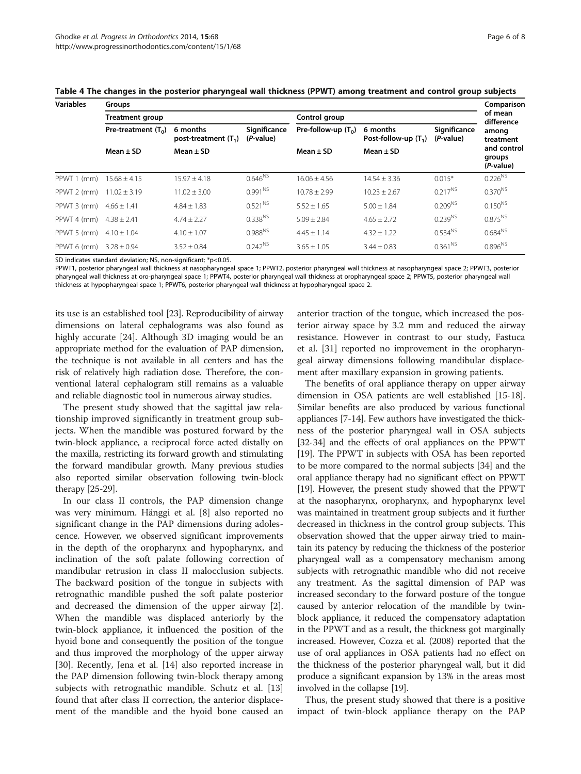| <b>Variables</b> | Groups                 |                                    |                           |                                        |                                                     |                           | Comparison                                               |
|------------------|------------------------|------------------------------------|---------------------------|----------------------------------------|-----------------------------------------------------|---------------------------|----------------------------------------------------------|
|                  | <b>Treatment group</b> |                                    |                           | Control group                          | of mean<br>difference                               |                           |                                                          |
|                  | Pre-treatment $(T_0)$  | 6 months<br>post-treatment $(T_1)$ | Significance<br>(P-value) | Pre-follow-up $(T_0)$<br>Mean $\pm$ SD | 6 months<br>Post-follow-up $(T_1)$<br>Mean $\pm$ SD | Significance<br>(P-value) | among<br>treatment<br>and control<br>groups<br>(P-value) |
|                  | Mean $\pm$ SD          | Mean $\pm$ SD                      |                           |                                        |                                                     |                           |                                                          |
| PPWT 1 (mm)      | $15.68 \pm 4.15$       | $15.97 \pm 4.18$                   | $0.646^{NS}$              | $16.06 + 4.56$                         | $14.54 \pm 3.36$                                    | $0.015*$                  | $0.226^{NS}$                                             |
| PPWT 2 (mm)      | $11.02 \pm 3.19$       | $11.02 \pm 3.00$                   | $0.991^{NS}$              | $10.78 + 2.99$                         | $10.23 + 2.67$                                      | $0.217^{NS}$              | $0.370^{NS}$                                             |
| PPWT 3 (mm)      | $4.66 \pm 1.41$        | $4.84 \pm 1.83$                    | $0.521^{NS}$              | $5.52 + 1.65$                          | $5.00 \pm 1.84$                                     | $0.209^{NS}$              | $0.150^{NS}$                                             |
| PPWT 4 (mm)      | $4.38 \pm 2.41$        | $4.74 \pm 2.27$                    | $0.338^{NS}$              | $5.09 \pm 2.84$                        | $4.65 \pm 2.72$                                     | $0.239^{NS}$              | $0.875^{NS}$                                             |
| PPWT 5 (mm)      | $4.10 \pm 1.04$        | $4.10 \pm 1.07$                    | $0.988^{NS}$              | $4.45 + 1.14$                          | $4.32 + 1.22$                                       | $0.534^{NS}$              | $0.684^{NS}$                                             |
| PPWT 6 (mm)      | $3.28 \pm 0.94$        | $3.52 + 0.84$                      | $0.242^{NS}$              | $3.65 \pm 1.05$                        | $3.44 + 0.83$                                       | $0.361^{NS}$              | $0.896^{NS}$                                             |

<span id="page-5-0"></span>Table 4 The changes in the posterior pharyngeal wall thickness (PPWT) among treatment and control group subjects

SD indicates standard deviation; NS, non-significant; \*p<0.05.

PPWT1, posterior pharyngeal wall thickness at nasopharyngeal space 1; PPWT2, posterior pharyngeal wall thickness at nasopharyngeal space 2; PPWT3, posterior pharyngeal wall thickness at oro-pharyngeal space 1; PPWT4, posterior pharyngeal wall thickness at oropharyngeal space 2; PPWT5, posterior pharyngeal wall thickness at hypopharyngeal space 1; PPWT6, posterior pharyngeal wall thickness at hypopharyngeal space 2.

its use is an established tool [\[23\]](#page-6-0). Reproducibility of airway dimensions on lateral cephalograms was also found as highly accurate [[24](#page-6-0)]. Although 3D imaging would be an appropriate method for the evaluation of PAP dimension, the technique is not available in all centers and has the risk of relatively high radiation dose. Therefore, the conventional lateral cephalogram still remains as a valuable and reliable diagnostic tool in numerous airway studies.

The present study showed that the sagittal jaw relationship improved significantly in treatment group subjects. When the mandible was postured forward by the twin-block appliance, a reciprocal force acted distally on the maxilla, restricting its forward growth and stimulating the forward mandibular growth. Many previous studies also reported similar observation following twin-block therapy [\[25-29](#page-6-0)].

In our class II controls, the PAP dimension change was very minimum. Hänggi et al. [[8\]](#page-6-0) also reported no significant change in the PAP dimensions during adolescence. However, we observed significant improvements in the depth of the oropharynx and hypopharynx, and inclination of the soft palate following correction of mandibular retrusion in class II malocclusion subjects. The backward position of the tongue in subjects with retrognathic mandible pushed the soft palate posterior and decreased the dimension of the upper airway [\[2](#page-6-0)]. When the mandible was displaced anteriorly by the twin-block appliance, it influenced the position of the hyoid bone and consequently the position of the tongue and thus improved the morphology of the upper airway [[30\]](#page-6-0). Recently, Jena et al. [\[14](#page-6-0)] also reported increase in the PAP dimension following twin-block therapy among subjects with retrognathic mandible. Schutz et al. [[13](#page-6-0)] found that after class II correction, the anterior displacement of the mandible and the hyoid bone caused an

anterior traction of the tongue, which increased the posterior airway space by 3.2 mm and reduced the airway resistance. However in contrast to our study, Fastuca et al. [\[31\]](#page-7-0) reported no improvement in the oropharyngeal airway dimensions following mandibular displacement after maxillary expansion in growing patients.

The benefits of oral appliance therapy on upper airway dimension in OSA patients are well established [[15](#page-6-0)-[18](#page-6-0)]. Similar benefits are also produced by various functional appliances [[7-14\]](#page-6-0). Few authors have investigated the thickness of the posterior pharyngeal wall in OSA subjects [[32](#page-7-0)-[34\]](#page-7-0) and the effects of oral appliances on the PPWT [[19](#page-6-0)]. The PPWT in subjects with OSA has been reported to be more compared to the normal subjects [\[34\]](#page-7-0) and the oral appliance therapy had no significant effect on PPWT [[19](#page-6-0)]. However, the present study showed that the PPWT at the nasopharynx, oropharynx, and hypopharynx level was maintained in treatment group subjects and it further decreased in thickness in the control group subjects. This observation showed that the upper airway tried to maintain its patency by reducing the thickness of the posterior pharyngeal wall as a compensatory mechanism among subjects with retrognathic mandible who did not receive any treatment. As the sagittal dimension of PAP was increased secondary to the forward posture of the tongue caused by anterior relocation of the mandible by twinblock appliance, it reduced the compensatory adaptation in the PPWT and as a result, the thickness got marginally increased. However, Cozza et al. (2008) reported that the use of oral appliances in OSA patients had no effect on the thickness of the posterior pharyngeal wall, but it did produce a significant expansion by 13% in the areas most involved in the collapse [\[19\]](#page-6-0).

Thus, the present study showed that there is a positive impact of twin-block appliance therapy on the PAP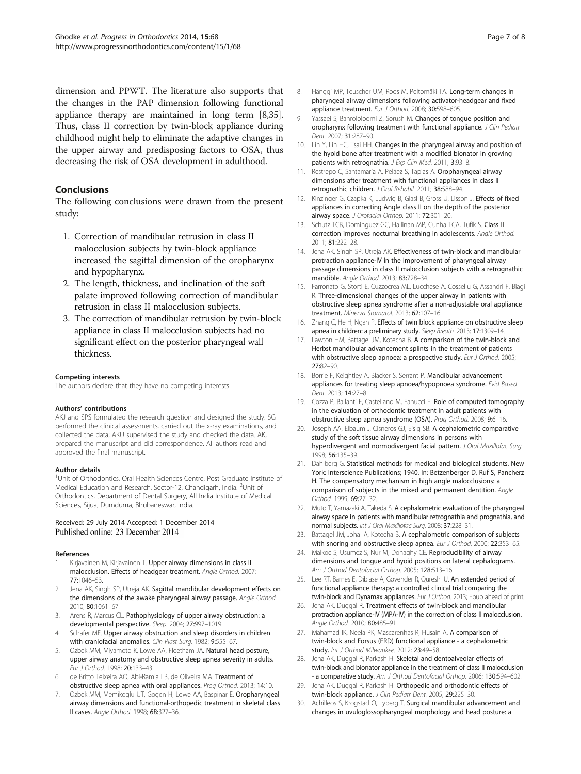<span id="page-6-0"></span>dimension and PPWT. The literature also supports that the changes in the PAP dimension following functional appliance therapy are maintained in long term [8,[35](#page-7-0)]. Thus, class II correction by twin-block appliance during childhood might help to eliminate the adaptive changes in the upper airway and predisposing factors to OSA, thus decreasing the risk of OSA development in adulthood.

# Conclusions

The following conclusions were drawn from the present study:

- 1. Correction of mandibular retrusion in class II malocclusion subjects by twin-block appliance increased the sagittal dimension of the oropharynx and hypopharynx.
- 2. The length, thickness, and inclination of the soft palate improved following correction of mandibular retrusion in class II malocclusion subjects.
- 3. The correction of mandibular retrusion by twin-block appliance in class II malocclusion subjects had no significant effect on the posterior pharyngeal wall thickness.

#### Competing interests

The authors declare that they have no competing interests.

#### Authors' contributions

AKJ and SPS formulated the research question and designed the study. SG performed the clinical assessments, carried out the x-ray examinations, and collected the data; AKU supervised the study and checked the data. AKJ prepared the manuscript and did correspondence. All authors read and approved the final manuscript.

#### Author details

<sup>1</sup>Unit of Orthodontics, Oral Health Sciences Centre, Post Graduate Institute of Medical Education and Research, Sector-12, Chandigarh, India. <sup>2</sup>Unit of Orthodontics, Department of Dental Surgery, All India Institute of Medical Sciences, Sijua, Dumduma, Bhubaneswar, India.

#### Received: 29 July 2014 Accepted: 1 December 2014 Published online: 23 December 2014

#### References

- 1. Kirjavainen M, Kirjavainen T. Upper airway dimensions in class II malocclusion. Effects of headgear treatment. Angle Orthod. 2007; 77:1046–53.
- 2. Jena AK, Singh SP, Utreja AK. Sagittal mandibular development effects on the dimensions of the awake pharyngeal airway passage. Angle Orthod. 2010; 80:1061–67.
- 3. Arens R, Marcus CL. Pathophysiology of upper airway obstruction: a developmental perspective. Sleep. 2004; 27:997–1019.
- 4. Schafer ME. Upper airway obstruction and sleep disorders in children with craniofacial anomalies. Clin Plast Surg. 1982; 9:555-67.
- 5. Ozbek MM, Miyamoto K, Lowe AA, Fleetham JA. Natural head posture, upper airway anatomy and obstructive sleep apnea severity in adults. Eur J Orthod. 1998; 20:133–43.
- 6. de Britto Teixeira AO, Abi-Ramia LB, de Oliveira MA. Treatment of obstructive sleep apnea with oral appliances. Prog Orthod. 2013; 14:10.
- 7. Ozbek MM, Memikoglu UT, Gogen H, Lowe AA, Baspinar E. Oropharyngeal airway dimensions and functional-orthopedic treatment in skeletal class II cases. Angle Orthod. 1998; 68:327–36.
- 8. Hänggi MP, Teuscher UM, Roos M, Peltomäki TA. Long-term changes in pharyngeal airway dimensions following activator-headgear and fixed appliance treatment. Eur J Orthod. 2008; 30:598–605.
- Yassaei S, Bahrololoomi Z, Sorush M. Changes of tongue position and oropharynx following treatment with functional appliance. J Clin Pediatr Dent. 2007; 31:287–90.
- 10. Lin Y, Lin HC, Tsai HH. Changes in the pharyngeal airway and position of the hyoid bone after treatment with a modified bionator in growing patients with retrognathia. J Exp Clin Med. 2011; 3:93-8.
- 11. Restrepo C, Santamaría A, Peláez S, Tapias A. Oropharyngeal airway dimensions after treatment with functional appliances in class II retrognathic children. J Oral Rehabil. 2011; 38:588–94.
- 12. Kinzinger G, Czapka K, Ludwig B, Glasl B, Gross U, Lisson J. Effects of fixed appliances in correcting Angle class II on the depth of the posterior airway space. J Orofacial Orthop. 2011; 72:301–20.
- 13. Schutz TCB, Dominguez GC, Hallinan MP, Cunha TCA, Tufik S. Class II correction improves nocturnal breathing in adolescents. Angle Orthod. 2011; 81:222–28.
- 14. Jena AK, Singh SP, Utreja AK. Effectiveness of twin-block and mandibular protraction appliance-IV in the improvement of pharyngeal airway passage dimensions in class II malocclusion subjects with a retrognathic mandible. Angle Orthod. 2013; 83:728–34.
- 15. Farronato G, Storti E, Cuzzocrea ML, Lucchese A, Cossellu G, Assandri F, Biagi R. Three-dimensional changes of the upper airway in patients with obstructive sleep apnea syndrome after a non-adjustable oral appliance treatment. Minerva Stomatol. 2013; 62:107–16.
- 16. Zhang C, He H, Ngan P. Effects of twin block appliance on obstructive sleep apnea in children: a preliminary study. Sleep Breath. 2013; 17:1309–14.
- 17. Lawton HM, Battagel JM, Kotecha B. A comparison of the twin-block and Herbst mandibular advancement splints in the treatment of patients with obstructive sleep apnoea: a prospective study. Eur J Orthod. 2005; 27:82–90.
- 18. Borrie F, Keightley A, Blacker S, Serrant P. Mandibular advancement appliances for treating sleep apnoea/hypopnoea syndrome. Evid Based Dent. 2013; 14:27–8.
- 19. Cozza P, Ballanti F, Castellano M, Fanucci E. Role of computed tomography in the evaluation of orthodontic treatment in adult patients with obstructive sleep apnea syndrome (OSA). Prog Orthod. 2008; 9:6–16.
- 20. Joseph AA, Elbaum J, Cisneros GJ, Eisig SB. A cephalometric comparative study of the soft tissue airway dimensions in persons with hyperdivergent and normodivergent facial pattern. J Oral Maxillofac Surg. 1998; 56:135–39.
- 21. Dahlberg G. Statistical methods for medical and biological students. New York: Interscience Publications; 1940. In: Betzenberger D, Ruf S, Pancherz H. The compensatory mechanism in high angle malocclusions: a comparison of subjects in the mixed and permanent dentition. Angle Orthod. 1999; 69:27–32.
- 22. Muto T, Yamazaki A, Takeda S. A cephalometric evaluation of the pharyngeal airway space in patients with mandibular retrognathia and prognathia, and normal subjects. Int J Oral Maxillofac Surg. 2008; 37:228-31.
- 23. Battagel JM, Johal A, Kotecha B. A cephalometric comparison of subjects with snoring and obstructive sleep apnea. Eur J Orthod. 2000; 22:353-65.
- 24. Malkoc S, Usumez S, Nur M, Donaghy CE. Reproducibility of airway dimensions and tongue and hyoid positions on lateral cephalograms. Am J Orthod Dentofacial Orthop. 2005; 128:513–16.
- 25. Lee RT, Barnes E, Dibiase A, Govender R, Qureshi U. An extended period of functional appliance therapy: a controlled clinical trial comparing the twin-block and Dynamax appliances. Eur J Orthod. 2013; Epub ahead of print.
- 26. Jena AK, Duggal R. Treatment effects of twin-block and mandibular protraction appliance-IV (MPA-IV) in the correction of class II malocclusion. Angle Orthod. 2010; 80:485–91.
- 27. Mahamad IK, Neela PK, Mascarenhas R, Husain A. A comparison of twin-block and Forsus (FRD) functional appliance - a cephalometric study. Int J Orthod Milwaukee. 2012; 23:49-58.
- 28. Jena AK, Duggal R, Parkash H. Skeletal and dentoalveolar effects of twin-block and bionator appliance in the treatment of class II malocclusion - a comparative study. Am J Orthod Dentofacial Orthop. 2006: 130:594-602.
- 29. Jena AK, Duggal R, Parkash H. Orthopedic and orthodontic effects of twin-block appliance. J Clin Pediatr Dent. 2005; 29:225-30.
- 30. Achilleos S, Krogstad O, Lyberg T. Surgical mandibular advancement and changes in uvuloglossopharyngeal morphology and head posture: a